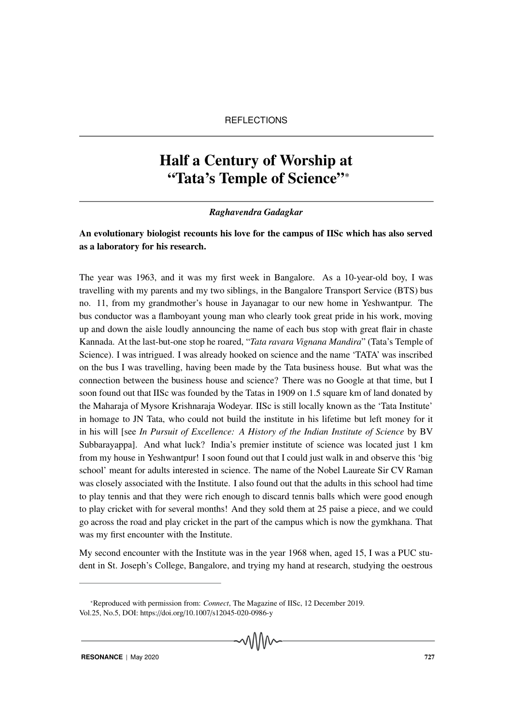# Half a Century of Worship at "Tata's Temple of Science"<sup>∗</sup>

#### *Raghavendra Gadagkar*

## An evolutionary biologist recounts his love for the campus of IISc which has also served as a laboratory for his research.

The year was 1963, and it was my first week in Bangalore. As a 10-year-old boy, I was travelling with my parents and my two siblings, in the Bangalore Transport Service (BTS) bus no. 11, from my grandmother's house in Jayanagar to our new home in Yeshwantpur. The bus conductor was a flamboyant young man who clearly took great pride in his work, moving up and down the aisle loudly announcing the name of each bus stop with great flair in chaste Kannada. At the last-but-one stop he roared, "*Tata ravara Vignana Mandira*" (Tata's Temple of Science). I was intrigued. I was already hooked on science and the name 'TATA' was inscribed on the bus I was travelling, having been made by the Tata business house. But what was the connection between the business house and science? There was no Google at that time, but I soon found out that IISc was founded by the Tatas in 1909 on 1.5 square km of land donated by the Maharaja of Mysore Krishnaraja Wodeyar. IISc is still locally known as the 'Tata Institute' in homage to JN Tata, who could not build the institute in his lifetime but left money for it in his will [see *In Pursuit of Excellence: A History of the Indian Institute of Science* by BV Subbarayappa]. And what luck? India's premier institute of science was located just 1 km from my house in Yeshwantpur! I soon found out that I could just walk in and observe this 'big school' meant for adults interested in science. The name of the Nobel Laureate Sir CV Raman was closely associated with the Institute. I also found out that the adults in this school had time to play tennis and that they were rich enough to discard tennis balls which were good enough to play cricket with for several months! And they sold them at 25 paise a piece, and we could go across the road and play cricket in the part of the campus which is now the gymkhana. That was my first encounter with the Institute.

My second encounter with the Institute was in the year 1968 when, aged 15, I was a PUC student in St. Joseph's College, Bangalore, and trying my hand at research, studying the oestrous

√∖∖∖∖∧∽

<sup>∗</sup>Reproduced with permission from: *Connect*, The Magazine of IISc, 12 December 2019. Vol.25, No.5, DOI: https://doi.org/10.1007/s12045-020-0986-y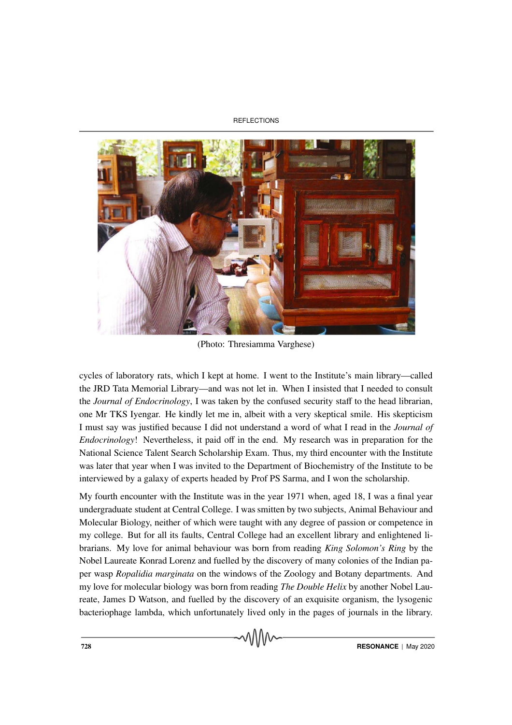**REFLECTIONS** 



(Photo: Thresiamma Varghese)

cycles of laboratory rats, which I kept at home. I went to the Institute's main library—called the JRD Tata Memorial Library—and was not let in. When I insisted that I needed to consult the *Journal of Endocrinology*, I was taken by the confused security staff to the head librarian, one Mr TKS Iyengar. He kindly let me in, albeit with a very skeptical smile. His skepticism I must say was justified because I did not understand a word of what I read in the *Journal of Endocrinology*! Nevertheless, it paid off in the end. My research was in preparation for the National Science Talent Search Scholarship Exam. Thus, my third encounter with the Institute was later that year when I was invited to the Department of Biochemistry of the Institute to be interviewed by a galaxy of experts headed by Prof PS Sarma, and I won the scholarship.

My fourth encounter with the Institute was in the year 1971 when, aged 18, I was a final year undergraduate student at Central College. I was smitten by two subjects, Animal Behaviour and Molecular Biology, neither of which were taught with any degree of passion or competence in my college. But for all its faults, Central College had an excellent library and enlightened librarians. My love for animal behaviour was born from reading *King Solomon's Ring* by the Nobel Laureate Konrad Lorenz and fuelled by the discovery of many colonies of the Indian paper wasp *Ropalidia marginata* on the windows of the Zoology and Botany departments. And my love for molecular biology was born from reading *The Double Helix* by another Nobel Laureate, James D Watson, and fuelled by the discovery of an exquisite organism, the lysogenic bacteriophage lambda, which unfortunately lived only in the pages of journals in the library.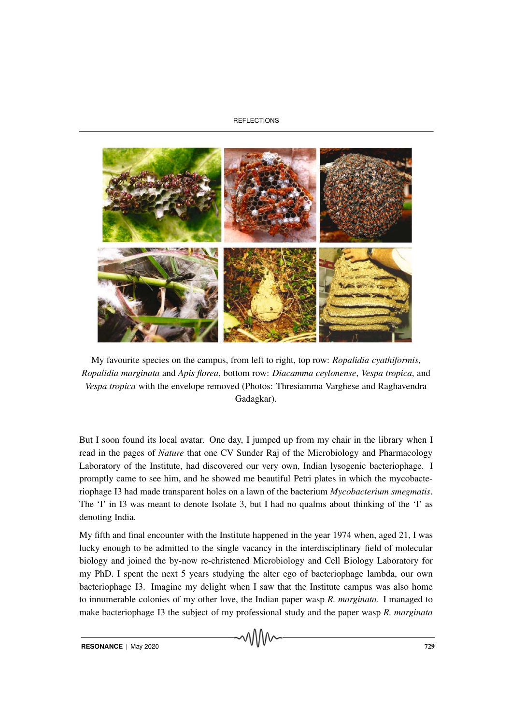#### **REFLECTIONS**



My favourite species on the campus, from left to right, top row: *Ropalidia cyathiformis*, *Ropalidia marginata* and *Apis florea*, bottom row: *Diacamma ceylonense*, *Vespa tropica*, and *Vespa tropica* with the envelope removed (Photos: Thresiamma Varghese and Raghavendra Gadagkar).

But I soon found its local avatar. One day, I jumped up from my chair in the library when I read in the pages of *Nature* that one CV Sunder Raj of the Microbiology and Pharmacology Laboratory of the Institute, had discovered our very own, Indian lysogenic bacteriophage. I promptly came to see him, and he showed me beautiful Petri plates in which the mycobacteriophage I3 had made transparent holes on a lawn of the bacterium *Mycobacterium smegmatis*. The 'I' in I3 was meant to denote Isolate 3, but I had no qualms about thinking of the 'I' as denoting India.

My fifth and final encounter with the Institute happened in the year 1974 when, aged 21, I was lucky enough to be admitted to the single vacancy in the interdisciplinary field of molecular biology and joined the by-now re-christened Microbiology and Cell Biology Laboratory for my PhD. I spent the next 5 years studying the alter ego of bacteriophage lambda, our own bacteriophage I3. Imagine my delight when I saw that the Institute campus was also home to innumerable colonies of my other love, the Indian paper wasp *R. marginata*. I managed to make bacteriophage I3 the subject of my professional study and the paper wasp *R. marginata*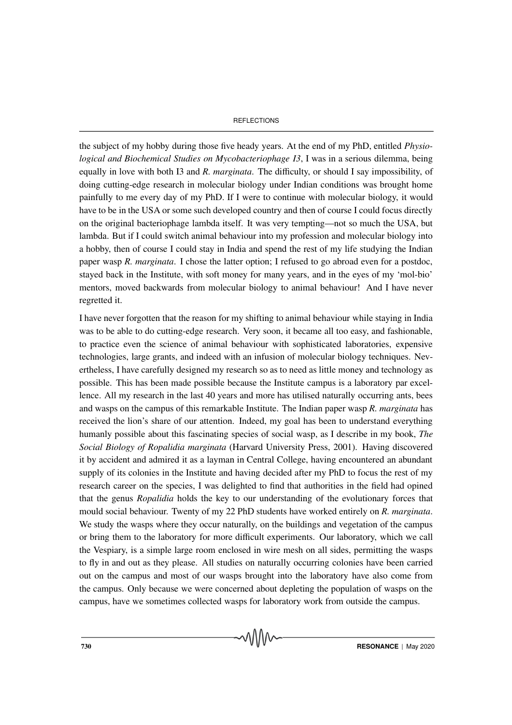#### **REFLECTIONS**

the subject of my hobby during those five heady years. At the end of my PhD, entitled *Physiological and Biochemical Studies on Mycobacteriophage I3*, I was in a serious dilemma, being equally in love with both I3 and *R. marginata*. The difficulty, or should I say impossibility, of doing cutting-edge research in molecular biology under Indian conditions was brought home painfully to me every day of my PhD. If I were to continue with molecular biology, it would have to be in the USA or some such developed country and then of course I could focus directly on the original bacteriophage lambda itself. It was very tempting—not so much the USA, but lambda. But if I could switch animal behaviour into my profession and molecular biology into a hobby, then of course I could stay in India and spend the rest of my life studying the Indian paper wasp *R. marginata*. I chose the latter option; I refused to go abroad even for a postdoc, stayed back in the Institute, with soft money for many years, and in the eyes of my 'mol-bio' mentors, moved backwards from molecular biology to animal behaviour! And I have never regretted it.

I have never forgotten that the reason for my shifting to animal behaviour while staying in India was to be able to do cutting-edge research. Very soon, it became all too easy, and fashionable, to practice even the science of animal behaviour with sophisticated laboratories, expensive technologies, large grants, and indeed with an infusion of molecular biology techniques. Nevertheless, I have carefully designed my research so as to need as little money and technology as possible. This has been made possible because the Institute campus is a laboratory par excellence. All my research in the last 40 years and more has utilised naturally occurring ants, bees and wasps on the campus of this remarkable Institute. The Indian paper wasp *R. marginata* has received the lion's share of our attention. Indeed, my goal has been to understand everything humanly possible about this fascinating species of social wasp, as I describe in my book, *The Social Biology of Ropalidia marginata* (Harvard University Press, 2001). Having discovered it by accident and admired it as a layman in Central College, having encountered an abundant supply of its colonies in the Institute and having decided after my PhD to focus the rest of my research career on the species, I was delighted to find that authorities in the field had opined that the genus *Ropalidia* holds the key to our understanding of the evolutionary forces that mould social behaviour. Twenty of my 22 PhD students have worked entirely on *R. marginata*. We study the wasps where they occur naturally, on the buildings and vegetation of the campus or bring them to the laboratory for more difficult experiments. Our laboratory, which we call the Vespiary, is a simple large room enclosed in wire mesh on all sides, permitting the wasps to fly in and out as they please. All studies on naturally occurring colonies have been carried out on the campus and most of our wasps brought into the laboratory have also come from the campus. Only because we were concerned about depleting the population of wasps on the campus, have we sometimes collected wasps for laboratory work from outside the campus.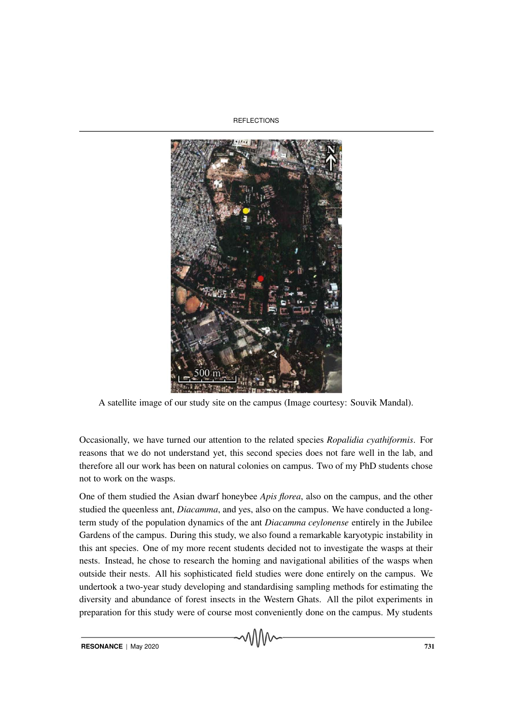**REFLECTIONS** 



A satellite image of our study site on the campus (Image courtesy: Souvik Mandal).

Occasionally, we have turned our attention to the related species *Ropalidia cyathiformis*. For reasons that we do not understand yet, this second species does not fare well in the lab, and therefore all our work has been on natural colonies on campus. Two of my PhD students chose not to work on the wasps.

One of them studied the Asian dwarf honeybee *Apis florea*, also on the campus, and the other studied the queenless ant, *Diacamma*, and yes, also on the campus. We have conducted a longterm study of the population dynamics of the ant *Diacamma ceylonense* entirely in the Jubilee Gardens of the campus. During this study, we also found a remarkable karyotypic instability in this ant species. One of my more recent students decided not to investigate the wasps at their nests. Instead, he chose to research the homing and navigational abilities of the wasps when outside their nests. All his sophisticated field studies were done entirely on the campus. We undertook a two-year study developing and standardising sampling methods for estimating the diversity and abundance of forest insects in the Western Ghats. All the pilot experiments in preparation for this study were of course most conveniently done on the campus. My students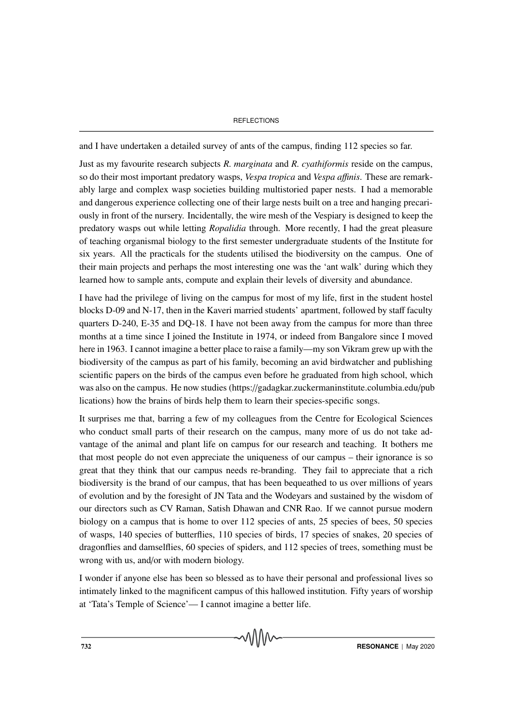#### **REFLECTIONS**

and I have undertaken a detailed survey of ants of the campus, finding 112 species so far.

Just as my favourite research subjects *R. marginata* and *R. cyathiformis* reside on the campus, so do their most important predatory wasps, *Vespa tropica* and *Vespa a*ffi*nis*. These are remarkably large and complex wasp societies building multistoried paper nests. I had a memorable and dangerous experience collecting one of their large nests built on a tree and hanging precariously in front of the nursery. Incidentally, the wire mesh of the Vespiary is designed to keep the predatory wasps out while letting *Ropalidia* through. More recently, I had the great pleasure of teaching organismal biology to the first semester undergraduate students of the Institute for six years. All the practicals for the students utilised the biodiversity on the campus. One of their main projects and perhaps the most interesting one was the 'ant walk' during which they learned how to sample ants, compute and explain their levels of diversity and abundance.

I have had the privilege of living on the campus for most of my life, first in the student hostel blocks D-09 and N-17, then in the Kaveri married students' apartment, followed by staff faculty quarters D-240, E-35 and DQ-18. I have not been away from the campus for more than three months at a time since I joined the Institute in 1974, or indeed from Bangalore since I moved here in 1963. I cannot imagine a better place to raise a family—my son Vikram grew up with the biodiversity of the campus as part of his family, becoming an avid birdwatcher and publishing scientific papers on the birds of the campus even before he graduated from high school, which was also on the campus. He now studies (https://gadagkar.zuckermaninstitute.columbia.edu/pub lications) how the brains of birds help them to learn their species-specific songs.

It surprises me that, barring a few of my colleagues from the Centre for Ecological Sciences who conduct small parts of their research on the campus, many more of us do not take advantage of the animal and plant life on campus for our research and teaching. It bothers me that most people do not even appreciate the uniqueness of our campus – their ignorance is so great that they think that our campus needs re-branding. They fail to appreciate that a rich biodiversity is the brand of our campus, that has been bequeathed to us over millions of years of evolution and by the foresight of JN Tata and the Wodeyars and sustained by the wisdom of our directors such as CV Raman, Satish Dhawan and CNR Rao. If we cannot pursue modern biology on a campus that is home to over 112 species of ants, 25 species of bees, 50 species of wasps, 140 species of butterflies, 110 species of birds, 17 species of snakes, 20 species of dragonflies and damselflies, 60 species of spiders, and 112 species of trees, something must be wrong with us, and/or with modern biology.

I wonder if anyone else has been so blessed as to have their personal and professional lives so intimately linked to the magnificent campus of this hallowed institution. Fifty years of worship at 'Tata's Temple of Science'— I cannot imagine a better life.